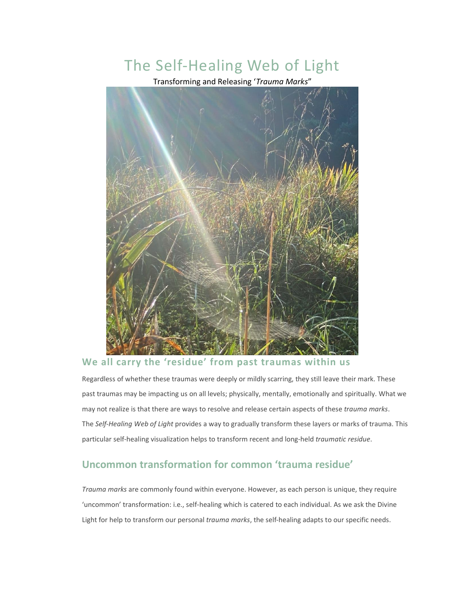# The Self-Healing Web of Light

Transforming and Releasing '*Trauma Marks*"



# **We all carry the 'residue' from past traumas within us**

Regardless of whether these traumas were deeply or mildly scarring, they still leave their mark. These past traumas may be impacting us on all levels; physically, mentally, emotionally and spiritually. What we may not realize is that there are ways to resolve and release certain aspects of these *trauma marks*. The *Self-Healing Web of Light* provides a way to gradually transform these layers or marks of trauma. This particular self-healing visualization helps to transform recent and long-held *traumatic residue*.

# **Uncommon transformation for common 'trauma residue'**

*Trauma marks* are commonly found within everyone. However, as each person is unique, they require 'uncommon' transformation: i.e., self-healing which is catered to each individual. As we ask the Divine Light for help to transform our personal *trauma marks*, the self-healing adapts to our specific needs.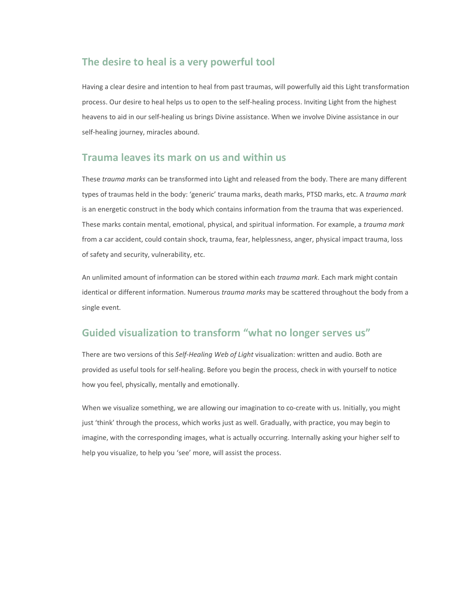# **The desire to heal is a very powerful tool**

Having a clear desire and intention to heal from past traumas, will powerfully aid this Light transformation process. Our desire to heal helps us to open to the self-healing process. Inviting Light from the highest heavens to aid in our self-healing us brings Divine assistance. When we involve Divine assistance in our self-healing journey, miracles abound.

# **Trauma leaves its mark on us and within us**

These *trauma marks* can be transformed into Light and released from the body. There are many different types of traumas held in the body: 'generic' trauma marks, death marks, PTSD marks, etc. A *trauma mark* is an energetic construct in the body which contains information from the trauma that was experienced. These marks contain mental, emotional, physical, and spiritual information. For example, a *trauma mark* from a car accident, could contain shock, trauma, fear, helplessness, anger, physical impact trauma, loss of safety and security, vulnerability, etc.

An unlimited amount of information can be stored within each *trauma mark*. Each mark might contain identical or different information. Numerous *trauma marks* may be scattered throughout the body from a single event.

# **Guided visualization to transform "what no longer serves us"**

There are two versions of this *Self-Healing Web of Light* visualization: written and audio. Both are provided as useful tools for self-healing. Before you begin the process, check in with yourself to notice how you feel, physically, mentally and emotionally.

When we visualize something, we are allowing our imagination to co-create with us. Initially, you might just 'think' through the process, which works just as well. Gradually, with practice, you may begin to imagine, with the corresponding images, what is actually occurring. Internally asking your higher self to help you visualize, to help you 'see' more, will assist the process.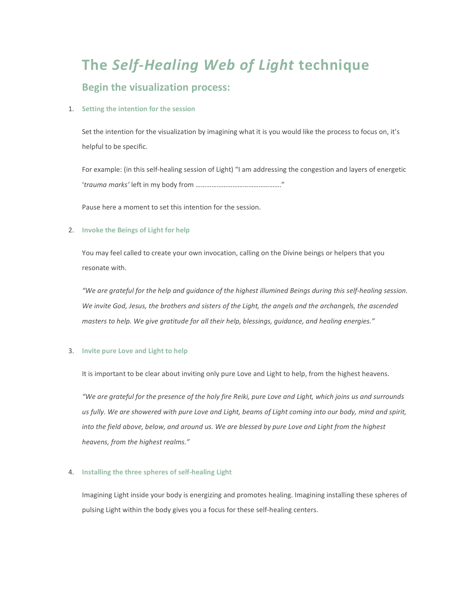# **The** *Self-Healing Web of Light* **technique**

# **Begin the visualization process:**

## 1. **Setting the intention for the session**

Set the intention for the visualization by imagining what it is you would like the process to focus on, it's helpful to be specific.

For example: (in this self-healing session of Light) "I am addressing the congestion and layers of energetic '*trauma marks'* left in my body from …………………………………………."

Pause here a moment to set this intention for the session.

## 2. **Invoke the Beings of Light for help**

You may feel called to create your own invocation, calling on the Divine beings or helpers that you resonate with.

"We are grateful for the help and guidance of the highest illumined Beings during this self-healing session. We invite God, Jesus, the brothers and sisters of the Light, the angels and the archangels, the ascended *masters to help. We give gratitude for all their help, blessings, guidance, and healing energies."*

## 3. **Invite pure Love and Light to help**

It is important to be clear about inviting only pure Love and Light to help, from the highest heavens.

"We are grateful for the presence of the holy fire Reiki, pure Love and Light, which joins us and surrounds us fully. We are showered with pure Love and Light, beams of Light coming into our body, mind and spirit, into the field above, below, and around us. We are blessed by pure Love and Light from the highest *heavens, from the highest realms."*

## 4. **Installing the three spheres of self-healing Light**

Imagining Light inside your body is energizing and promotes healing. Imagining installing these spheres of pulsing Light within the body gives you a focus for these self-healing centers.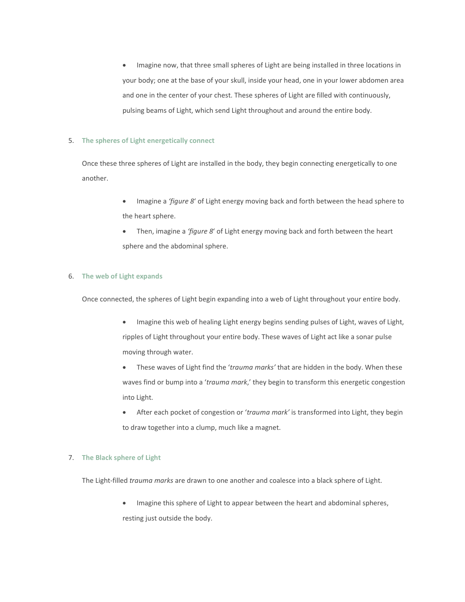• Imagine now, that three small spheres of Light are being installed in three locations in your body; one at the base of your skull, inside your head, one in your lower abdomen area and one in the center of your chest. These spheres of Light are filled with continuously, pulsing beams of Light, which send Light throughout and around the entire body.

#### 5. **The spheres of Light energetically connect**

Once these three spheres of Light are installed in the body, they begin connecting energetically to one another.

- Imagine a *'figure 8*' of Light energy moving back and forth between the head sphere to the heart sphere.
- Then, imagine a *'figure 8*' of Light energy moving back and forth between the heart sphere and the abdominal sphere.

#### 6. **The web of Light expands**

Once connected, the spheres of Light begin expanding into a web of Light throughout your entire body.

- Imagine this web of healing Light energy begins sending pulses of Light, waves of Light, ripples of Light throughout your entire body. These waves of Light act like a sonar pulse moving through water.
- These waves of Light find the '*trauma marks'* that are hidden in the body. When these waves find or bump into a '*trauma mark*,' they begin to transform this energetic congestion into Light.
- After each pocket of congestion or '*trauma mark'* is transformed into Light, they begin to draw together into a clump, much like a magnet.

## 7. **The Black sphere of Light**

The Light-filled *trauma marks* are drawn to one another and coalesce into a black sphere of Light.

Imagine this sphere of Light to appear between the heart and abdominal spheres, resting just outside the body.